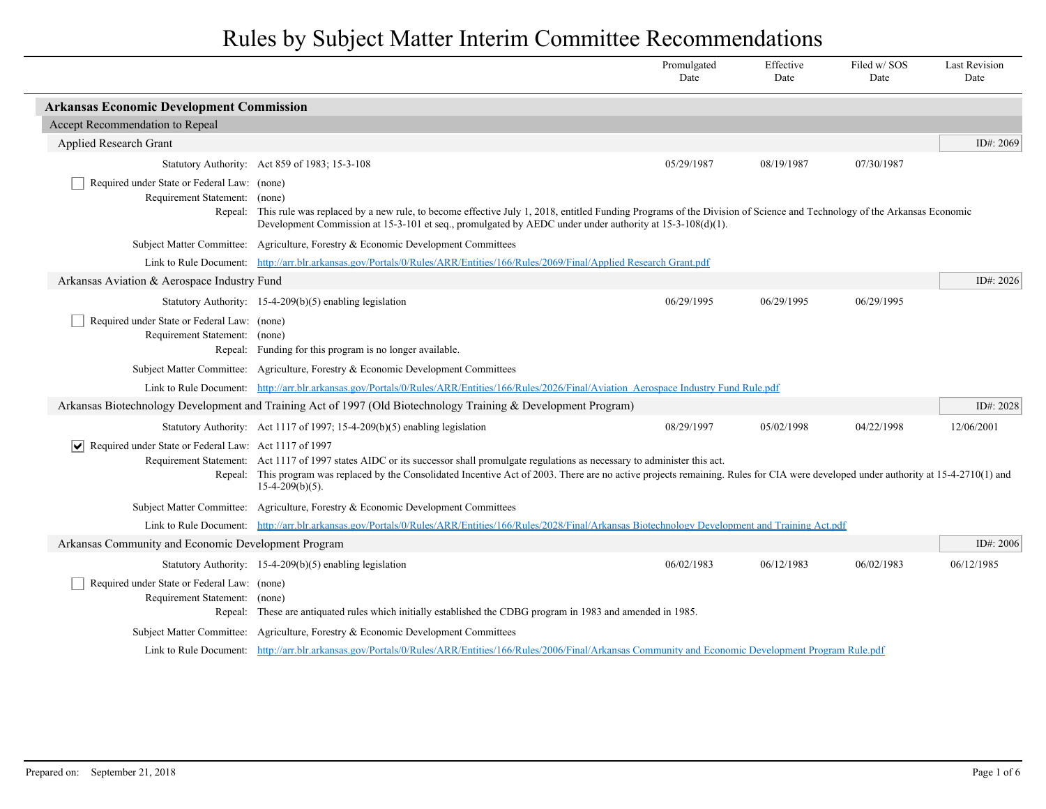|                                                                              |                                                                                                                                                                                                                                                                                                                                                       | Promulgated<br>Date | Effective<br>Date | Filed w/SOS<br>Date | <b>Last Revision</b><br>Date |
|------------------------------------------------------------------------------|-------------------------------------------------------------------------------------------------------------------------------------------------------------------------------------------------------------------------------------------------------------------------------------------------------------------------------------------------------|---------------------|-------------------|---------------------|------------------------------|
| <b>Arkansas Economic Development Commission</b>                              |                                                                                                                                                                                                                                                                                                                                                       |                     |                   |                     |                              |
| Accept Recommendation to Repeal                                              |                                                                                                                                                                                                                                                                                                                                                       |                     |                   |                     |                              |
| Applied Research Grant                                                       |                                                                                                                                                                                                                                                                                                                                                       |                     |                   |                     | ID#: 2069                    |
|                                                                              | Statutory Authority: Act 859 of 1983; 15-3-108                                                                                                                                                                                                                                                                                                        | 05/29/1987          | 08/19/1987        | 07/30/1987          |                              |
| Required under State or Federal Law: (none)<br>Requirement Statement:        | (none)<br>Repeal: This rule was replaced by a new rule, to become effective July 1, 2018, entitled Funding Programs of the Division of Science and Technology of the Arkansas Economic<br>Development Commission at 15-3-101 et seq., promulgated by AEDC under under authority at $15-3-108(d)(1)$ .                                                 |                     |                   |                     |                              |
|                                                                              | Subject Matter Committee: Agriculture, Forestry & Economic Development Committees                                                                                                                                                                                                                                                                     |                     |                   |                     |                              |
|                                                                              | Link to Rule Document: http://arr.blr.arkansas.gov/Portals/0/Rules/ARR/Entities/166/Rules/2069/Final/Applied Research Grant.pdf                                                                                                                                                                                                                       |                     |                   |                     |                              |
| Arkansas Aviation & Aerospace Industry Fund                                  |                                                                                                                                                                                                                                                                                                                                                       |                     |                   |                     | ID#: 2026                    |
|                                                                              | Statutory Authority: $15-4-209(b)(5)$ enabling legislation                                                                                                                                                                                                                                                                                            | 06/29/1995          | 06/29/1995        | 06/29/1995          |                              |
| Required under State or Federal Law: (none)<br>Requirement Statement: (none) | Repeal: Funding for this program is no longer available.                                                                                                                                                                                                                                                                                              |                     |                   |                     |                              |
|                                                                              | Subject Matter Committee: Agriculture, Forestry & Economic Development Committees                                                                                                                                                                                                                                                                     |                     |                   |                     |                              |
|                                                                              | Link to Rule Document: http://arr.blr.arkansas.gov/Portals/0/Rules/ARR/Entities/166/Rules/2026/Final/Aviation Aerospace Industry Fund Rule.pdf                                                                                                                                                                                                        |                     |                   |                     |                              |
|                                                                              | Arkansas Biotechnology Development and Training Act of 1997 (Old Biotechnology Training & Development Program)                                                                                                                                                                                                                                        |                     |                   |                     | ID#: 2028                    |
|                                                                              | Statutory Authority: Act 1117 of 1997; 15-4-209(b)(5) enabling legislation                                                                                                                                                                                                                                                                            | 08/29/1997          | 05/02/1998        | 04/22/1998          | 12/06/2001                   |
| $ \mathbf{v} $ Required under State or Federal Law: Act 1117 of 1997         | Requirement Statement: Act 1117 of 1997 states AIDC or its successor shall promulgate regulations as necessary to administer this act.<br>Repeal: This program was replaced by the Consolidated Incentive Act of 2003. There are no active projects remaining. Rules for CIA were developed under authority at 15-4-2710(1) and<br>$15-4-209(b)(5)$ . |                     |                   |                     |                              |
|                                                                              | Subject Matter Committee: Agriculture, Forestry & Economic Development Committees                                                                                                                                                                                                                                                                     |                     |                   |                     |                              |
|                                                                              | Link to Rule Document: http://arr.blr.arkansas.gov/Portals/0/Rules/ARR/Entities/166/Rules/2028/Final/Arkansas Biotechnology Development and Training Act.pdf                                                                                                                                                                                          |                     |                   |                     |                              |
| Arkansas Community and Economic Development Program                          |                                                                                                                                                                                                                                                                                                                                                       |                     |                   |                     | ID#: 2006                    |
|                                                                              | Statutory Authority: 15-4-209(b)(5) enabling legislation                                                                                                                                                                                                                                                                                              | 06/02/1983          | 06/12/1983        | 06/02/1983          | 06/12/1985                   |
| Required under State or Federal Law: (none)<br>Requirement Statement: (none) | Repeal: These are antiquated rules which initially established the CDBG program in 1983 and amended in 1985.                                                                                                                                                                                                                                          |                     |                   |                     |                              |
|                                                                              | Subject Matter Committee: Agriculture, Forestry & Economic Development Committees                                                                                                                                                                                                                                                                     |                     |                   |                     |                              |
|                                                                              | Link to Rule Document: http://arr.blr.arkansas.gov/Portals/0/Rules/ARR/Entities/166/Rules/2006/Final/Arkansas Community and Economic Development Program Rule.pdf                                                                                                                                                                                     |                     |                   |                     |                              |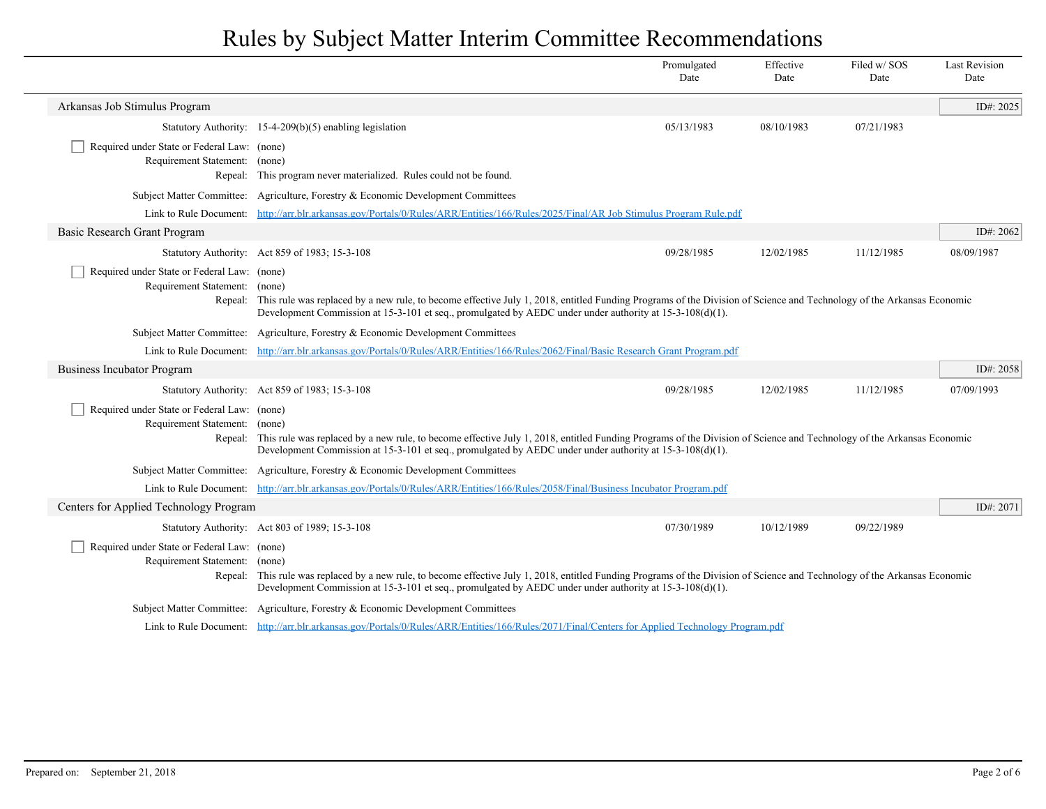|                                                                                                                                                                                                                                                                                                                                                                             |                                                                                                                                                                                                                                                                                                                           | Promulgated<br>Date | Effective<br>Date | Filed w/SOS<br>Date | <b>Last Revision</b><br>Date |
|-----------------------------------------------------------------------------------------------------------------------------------------------------------------------------------------------------------------------------------------------------------------------------------------------------------------------------------------------------------------------------|---------------------------------------------------------------------------------------------------------------------------------------------------------------------------------------------------------------------------------------------------------------------------------------------------------------------------|---------------------|-------------------|---------------------|------------------------------|
| Arkansas Job Stimulus Program                                                                                                                                                                                                                                                                                                                                               |                                                                                                                                                                                                                                                                                                                           |                     |                   |                     | ID#: $2025$                  |
|                                                                                                                                                                                                                                                                                                                                                                             | Statutory Authority: $15-4-209(b)(5)$ enabling legislation                                                                                                                                                                                                                                                                | 05/13/1983          | 08/10/1983        | 07/21/1983          |                              |
| Required under State or Federal Law: (none)<br>Requirement Statement: (none)                                                                                                                                                                                                                                                                                                | Repeal: This program never materialized. Rules could not be found.                                                                                                                                                                                                                                                        |                     |                   |                     |                              |
|                                                                                                                                                                                                                                                                                                                                                                             | Subject Matter Committee: Agriculture, Forestry & Economic Development Committees                                                                                                                                                                                                                                         |                     |                   |                     |                              |
|                                                                                                                                                                                                                                                                                                                                                                             | Link to Rule Document: http://arr.blr.arkansas.gov/Portals/0/Rules/ARR/Entities/166/Rules/2025/Final/AR Job Stimulus Program Rule.pdf                                                                                                                                                                                     |                     |                   |                     |                              |
| <b>Basic Research Grant Program</b>                                                                                                                                                                                                                                                                                                                                         |                                                                                                                                                                                                                                                                                                                           |                     |                   |                     | ID#: 2062                    |
|                                                                                                                                                                                                                                                                                                                                                                             | Statutory Authority: Act 859 of 1983; 15-3-108                                                                                                                                                                                                                                                                            | 09/28/1985          | 12/02/1985        | 11/12/1985          | 08/09/1987                   |
| Required under State or Federal Law: (none)                                                                                                                                                                                                                                                                                                                                 | Requirement Statement: (none)<br>Repeal: This rule was replaced by a new rule, to become effective July 1, 2018, entitled Funding Programs of the Division of Science and Technology of the Arkansas Economic<br>Development Commission at 15-3-101 et seq., promulgated by AEDC under under authority at 15-3-108(d)(1). |                     |                   |                     |                              |
|                                                                                                                                                                                                                                                                                                                                                                             | Subject Matter Committee: Agriculture, Forestry & Economic Development Committees                                                                                                                                                                                                                                         |                     |                   |                     |                              |
|                                                                                                                                                                                                                                                                                                                                                                             | Link to Rule Document: http://arr.blr.arkansas.gov/Portals/0/Rules/ARR/Entities/166/Rules/2062/Final/Basic Research Grant Program.pdf                                                                                                                                                                                     |                     |                   |                     |                              |
| <b>Business Incubator Program</b>                                                                                                                                                                                                                                                                                                                                           |                                                                                                                                                                                                                                                                                                                           |                     |                   |                     | ID#: 2058                    |
|                                                                                                                                                                                                                                                                                                                                                                             | Statutory Authority: Act 859 of 1983; 15-3-108                                                                                                                                                                                                                                                                            | 09/28/1985          | 12/02/1985        | 11/12/1985          | 07/09/1993                   |
| Required under State or Federal Law: (none)<br>Requirement Statement:<br>(none)<br>Repeal: This rule was replaced by a new rule, to become effective July 1, 2018, entitled Funding Programs of the Division of Science and Technology of the Arkansas Economic<br>Development Commission at 15-3-101 et seq., promulgated by AEDC under under authority at 15-3-108(d)(1). |                                                                                                                                                                                                                                                                                                                           |                     |                   |                     |                              |
|                                                                                                                                                                                                                                                                                                                                                                             | Subject Matter Committee: Agriculture, Forestry & Economic Development Committees                                                                                                                                                                                                                                         |                     |                   |                     |                              |
|                                                                                                                                                                                                                                                                                                                                                                             | Link to Rule Document: http://arr.blr.arkansas.gov/Portals/0/Rules/ARR/Entities/166/Rules/2058/Final/Business Incubator Program.pdf                                                                                                                                                                                       |                     |                   |                     |                              |
| Centers for Applied Technology Program                                                                                                                                                                                                                                                                                                                                      |                                                                                                                                                                                                                                                                                                                           |                     |                   |                     | ID#: 2071                    |
|                                                                                                                                                                                                                                                                                                                                                                             | Statutory Authority: Act 803 of 1989; 15-3-108                                                                                                                                                                                                                                                                            | 07/30/1989          | 10/12/1989        | 09/22/1989          |                              |
| Required under State or Federal Law: (none)<br>Requirement Statement: (none)                                                                                                                                                                                                                                                                                                | Repeal: This rule was replaced by a new rule, to become effective July 1, 2018, entitled Funding Programs of the Division of Science and Technology of the Arkansas Economic<br>Development Commission at 15-3-101 et seq., promulgated by AEDC under under authority at 15-3-108(d)(1).                                  |                     |                   |                     |                              |
|                                                                                                                                                                                                                                                                                                                                                                             | Subject Matter Committee: Agriculture, Forestry & Economic Development Committees                                                                                                                                                                                                                                         |                     |                   |                     |                              |
|                                                                                                                                                                                                                                                                                                                                                                             | Link to Rule Document: http://arr.blr.arkansas.gov/Portals/0/Rules/ARR/Entities/166/Rules/2071/Final/Centers for Applied Technology Program.pdf                                                                                                                                                                           |                     |                   |                     |                              |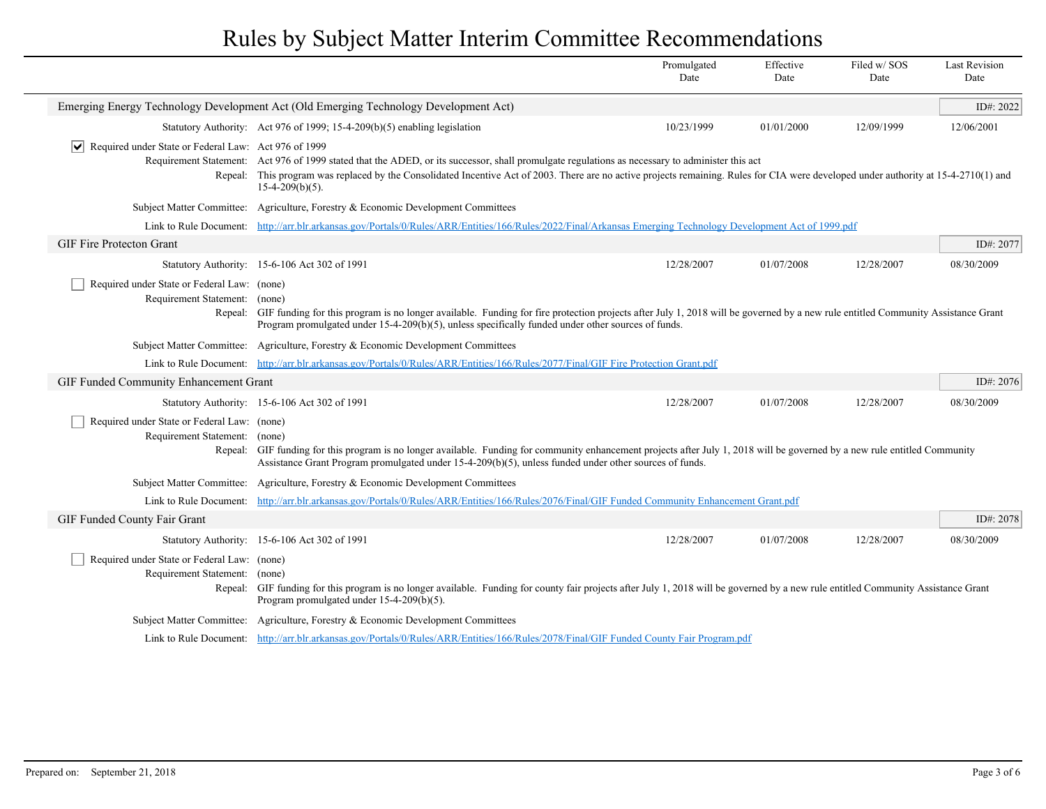|                                                                                      |                                                                                                                                                                                                                                                                                                                                                                | Promulgated<br>Date | Effective<br>Date | Filed w/SOS<br>Date | <b>Last Revision</b><br>Date |
|--------------------------------------------------------------------------------------|----------------------------------------------------------------------------------------------------------------------------------------------------------------------------------------------------------------------------------------------------------------------------------------------------------------------------------------------------------------|---------------------|-------------------|---------------------|------------------------------|
|                                                                                      | Emerging Energy Technology Development Act (Old Emerging Technology Development Act)                                                                                                                                                                                                                                                                           |                     |                   |                     | ID#: 2022                    |
|                                                                                      | Statutory Authority: Act 976 of 1999; 15-4-209(b)(5) enabling legislation                                                                                                                                                                                                                                                                                      | 10/23/1999          | 01/01/2000        | 12/09/1999          | 12/06/2001                   |
| $\sqrt{\phantom{a}}$ Required under State or Federal Law: Act 976 of 1999<br>Repeal: | Requirement Statement: Act 976 of 1999 stated that the ADED, or its successor, shall promulgate regulations as necessary to administer this act<br>This program was replaced by the Consolidated Incentive Act of 2003. There are no active projects remaining. Rules for CIA were developed under authority at 15-4-2710(1) and<br>$15-4-209(b)(5)$ .         |                     |                   |                     |                              |
|                                                                                      | Subject Matter Committee: Agriculture, Forestry & Economic Development Committees                                                                                                                                                                                                                                                                              |                     |                   |                     |                              |
|                                                                                      | Link to Rule Document: http://arr.blr.arkansas.gov/Portals/0/Rules/ARR/Entities/166/Rules/2022/Final/Arkansas Emerging Technology Development Act of 1999.pdf                                                                                                                                                                                                  |                     |                   |                     |                              |
| <b>GIF Fire Protecton Grant</b>                                                      |                                                                                                                                                                                                                                                                                                                                                                |                     |                   |                     | ID#: 2077                    |
|                                                                                      | Statutory Authority: 15-6-106 Act 302 of 1991                                                                                                                                                                                                                                                                                                                  | 12/28/2007          | 01/07/2008        | 12/28/2007          | 08/30/2009                   |
| Required under State or Federal Law: (none)<br>Requirement Statement: (none)         | Repeal: GIF funding for this program is no longer available. Funding for fire protection projects after July 1, 2018 will be governed by a new rule entitled Community Assistance Grant<br>Program promulgated under $15-4-209(b)(5)$ , unless specifically funded under other sources of funds.                                                               |                     |                   |                     |                              |
|                                                                                      | Subject Matter Committee: Agriculture, Forestry & Economic Development Committees                                                                                                                                                                                                                                                                              |                     |                   |                     |                              |
| Link to Rule Document:                                                               | http://arr.blr.arkansas.gov/Portals/0/Rules/ARR/Entities/166/Rules/2077/Final/GIF Fire Protection Grant.pdf                                                                                                                                                                                                                                                    |                     |                   |                     |                              |
| GIF Funded Community Enhancement Grant                                               |                                                                                                                                                                                                                                                                                                                                                                |                     |                   |                     | ID#: $2076$                  |
|                                                                                      | Statutory Authority: 15-6-106 Act 302 of 1991                                                                                                                                                                                                                                                                                                                  | 12/28/2007          | 01/07/2008        | 12/28/2007          | 08/30/2009                   |
| Repeal:                                                                              | Required under State or Federal Law: (none)<br>Requirement Statement: (none)<br>GIF funding for this program is no longer available. Funding for community enhancement projects after July 1, 2018 will be governed by a new rule entitled Community<br>Assistance Grant Program promulgated under 15-4-209(b)(5), unless funded under other sources of funds. |                     |                   |                     |                              |
|                                                                                      | Subject Matter Committee: Agriculture, Forestry & Economic Development Committees                                                                                                                                                                                                                                                                              |                     |                   |                     |                              |
|                                                                                      | Link to Rule Document: http://arr.blr.arkansas.gov/Portals/0/Rules/ARR/Entities/166/Rules/2076/Final/GIF Funded Community Enhancement Grant.pdf                                                                                                                                                                                                                |                     |                   |                     |                              |
| GIF Funded County Fair Grant                                                         |                                                                                                                                                                                                                                                                                                                                                                |                     |                   |                     | ID#: 2078                    |
|                                                                                      | Statutory Authority: 15-6-106 Act 302 of 1991                                                                                                                                                                                                                                                                                                                  | 12/28/2007          | 01/07/2008        | 12/28/2007          | 08/30/2009                   |
| Requirement Statement:                                                               | Required under State or Federal Law: (none)<br>(none)<br>Repeal: GIF funding for this program is no longer available. Funding for county fair projects after July 1, 2018 will be governed by a new rule entitled Community Assistance Grant<br>Program promulgated under 15-4-209(b)(5).                                                                      |                     |                   |                     |                              |
|                                                                                      | Subject Matter Committee: Agriculture, Forestry & Economic Development Committees                                                                                                                                                                                                                                                                              |                     |                   |                     |                              |
|                                                                                      | Link to Rule Document: http://arr.blr.arkansas.gov/Portals/0/Rules/ARR/Entities/166/Rules/2078/Final/GIF Funded County Fair Program.pdf                                                                                                                                                                                                                        |                     |                   |                     |                              |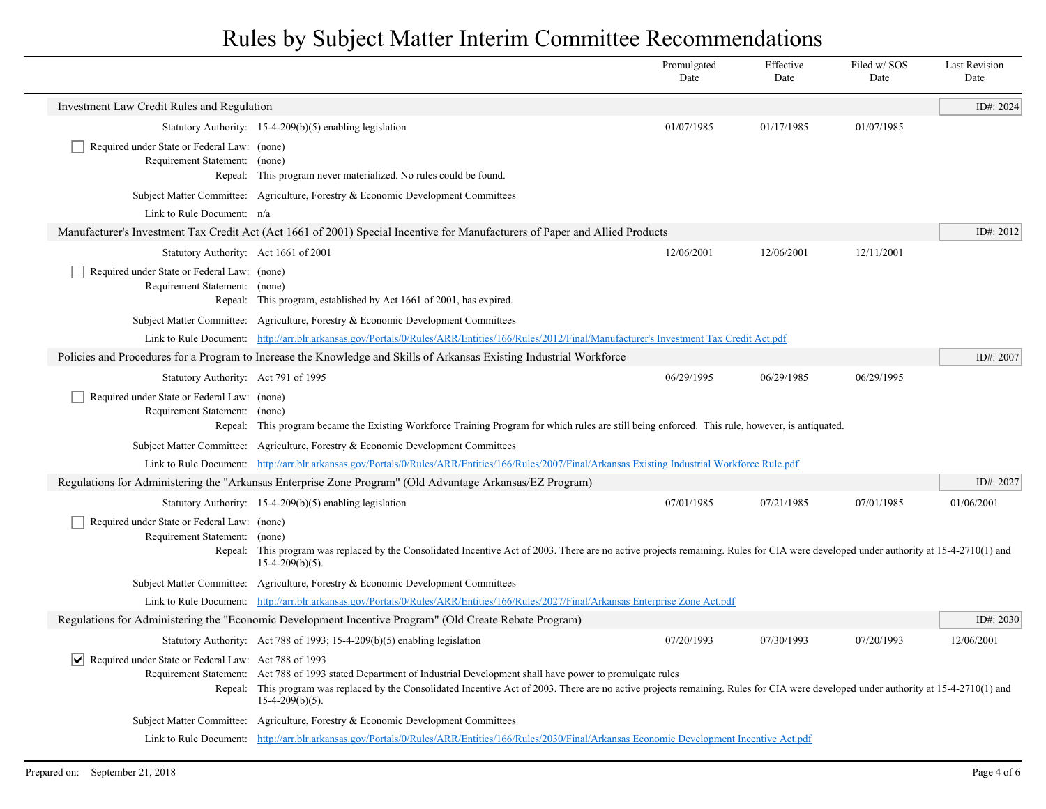|                                                                              |                                                                                                                                                                                                                                                                                                                                                                                                               | Promulgated<br>Date | Effective<br>Date | Filed w/SOS<br>Date | <b>Last Revision</b><br>Date |
|------------------------------------------------------------------------------|---------------------------------------------------------------------------------------------------------------------------------------------------------------------------------------------------------------------------------------------------------------------------------------------------------------------------------------------------------------------------------------------------------------|---------------------|-------------------|---------------------|------------------------------|
| Investment Law Credit Rules and Regulation                                   |                                                                                                                                                                                                                                                                                                                                                                                                               |                     |                   |                     | ID#: 2024                    |
|                                                                              | Statutory Authority: $15-4-209(b)(5)$ enabling legislation                                                                                                                                                                                                                                                                                                                                                    | 01/07/1985          | 01/17/1985        | 01/07/1985          |                              |
| Required under State or Federal Law: (none)<br>Requirement Statement:        | (none)<br>Repeal: This program never materialized. No rules could be found.                                                                                                                                                                                                                                                                                                                                   |                     |                   |                     |                              |
|                                                                              | Subject Matter Committee: Agriculture, Forestry & Economic Development Committees                                                                                                                                                                                                                                                                                                                             |                     |                   |                     |                              |
| Link to Rule Document: n/a                                                   |                                                                                                                                                                                                                                                                                                                                                                                                               |                     |                   |                     |                              |
|                                                                              | Manufacturer's Investment Tax Credit Act (Act 1661 of 2001) Special Incentive for Manufacturers of Paper and Allied Products                                                                                                                                                                                                                                                                                  |                     |                   |                     | ID#: 2012                    |
| Statutory Authority: Act 1661 of 2001                                        |                                                                                                                                                                                                                                                                                                                                                                                                               | 12/06/2001          | 12/06/2001        | 12/11/2001          |                              |
| Required under State or Federal Law: (none)<br>Requirement Statement: (none) | Repeal: This program, established by Act 1661 of 2001, has expired.                                                                                                                                                                                                                                                                                                                                           |                     |                   |                     |                              |
|                                                                              | Subject Matter Committee: Agriculture, Forestry & Economic Development Committees                                                                                                                                                                                                                                                                                                                             |                     |                   |                     |                              |
|                                                                              | Link to Rule Document: http://arr.blr.arkansas.gov/Portals/0/Rules/ARR/Entities/166/Rules/2012/Final/Manufacturer's Investment Tax Credit Act.pdf                                                                                                                                                                                                                                                             |                     |                   |                     |                              |
|                                                                              | Policies and Procedures for a Program to Increase the Knowledge and Skills of Arkansas Existing Industrial Workforce                                                                                                                                                                                                                                                                                          |                     |                   |                     | ID#: 2007                    |
| Statutory Authority: Act 791 of 1995                                         |                                                                                                                                                                                                                                                                                                                                                                                                               | 06/29/1995          | 06/29/1985        | 06/29/1995          |                              |
| Required under State or Federal Law: (none)<br>Requirement Statement: (none) | Repeal: This program became the Existing Workforce Training Program for which rules are still being enforced. This rule, however, is antiquated.                                                                                                                                                                                                                                                              |                     |                   |                     |                              |
|                                                                              | Subject Matter Committee: Agriculture, Forestry & Economic Development Committees                                                                                                                                                                                                                                                                                                                             |                     |                   |                     |                              |
|                                                                              | Link to Rule Document: http://arr.blr.arkansas.gov/Portals/0/Rules/ARR/Entities/166/Rules/2007/Final/Arkansas Existing Industrial Workforce Rule.pdf                                                                                                                                                                                                                                                          |                     |                   |                     |                              |
|                                                                              | Regulations for Administering the "Arkansas Enterprise Zone Program" (Old Advantage Arkansas/EZ Program)                                                                                                                                                                                                                                                                                                      |                     |                   |                     | ID#: 2027                    |
|                                                                              | Statutory Authority: 15-4-209(b)(5) enabling legislation                                                                                                                                                                                                                                                                                                                                                      | 07/01/1985          | 07/21/1985        | 07/01/1985          | 01/06/2001                   |
| Required under State or Federal Law: (none)<br>Requirement Statement:        | (none)<br>Repeal: This program was replaced by the Consolidated Incentive Act of 2003. There are no active projects remaining. Rules for CIA were developed under authority at 15-4-2710(1) and<br>$15-4-209(b)(5)$ .                                                                                                                                                                                         |                     |                   |                     |                              |
|                                                                              | Subject Matter Committee: Agriculture, Forestry & Economic Development Committees                                                                                                                                                                                                                                                                                                                             |                     |                   |                     |                              |
|                                                                              | Link to Rule Document: http://arr.blr.arkansas.gov/Portals/0/Rules/ARR/Entities/166/Rules/2027/Final/Arkansas Enterprise Zone Act.pdf                                                                                                                                                                                                                                                                         |                     |                   |                     |                              |
|                                                                              | Regulations for Administering the "Economic Development Incentive Program" (Old Create Rebate Program)                                                                                                                                                                                                                                                                                                        |                     |                   |                     | ID#: 2030                    |
|                                                                              | Statutory Authority: Act 788 of 1993; 15-4-209(b)(5) enabling legislation                                                                                                                                                                                                                                                                                                                                     | 07/20/1993          | 07/30/1993        | 07/20/1993          | 12/06/2001                   |
|                                                                              | $ \mathbf{v} $ Required under State or Federal Law: Act 788 of 1993<br>Requirement Statement: Act 788 of 1993 stated Department of Industrial Development shall have power to promulgate rules<br>Repeal: This program was replaced by the Consolidated Incentive Act of 2003. There are no active projects remaining. Rules for CIA were developed under authority at 15-4-2710(1) and<br>$15-4-209(b)(5)$ . |                     |                   |                     |                              |
|                                                                              | Subject Matter Committee: Agriculture, Forestry & Economic Development Committees                                                                                                                                                                                                                                                                                                                             |                     |                   |                     |                              |
|                                                                              | Link to Rule Document: http://arr.blr.arkansas.gov/Portals/0/Rules/ARR/Entities/166/Rules/2030/Final/Arkansas Economic Development Incentive Act.pdf                                                                                                                                                                                                                                                          |                     |                   |                     |                              |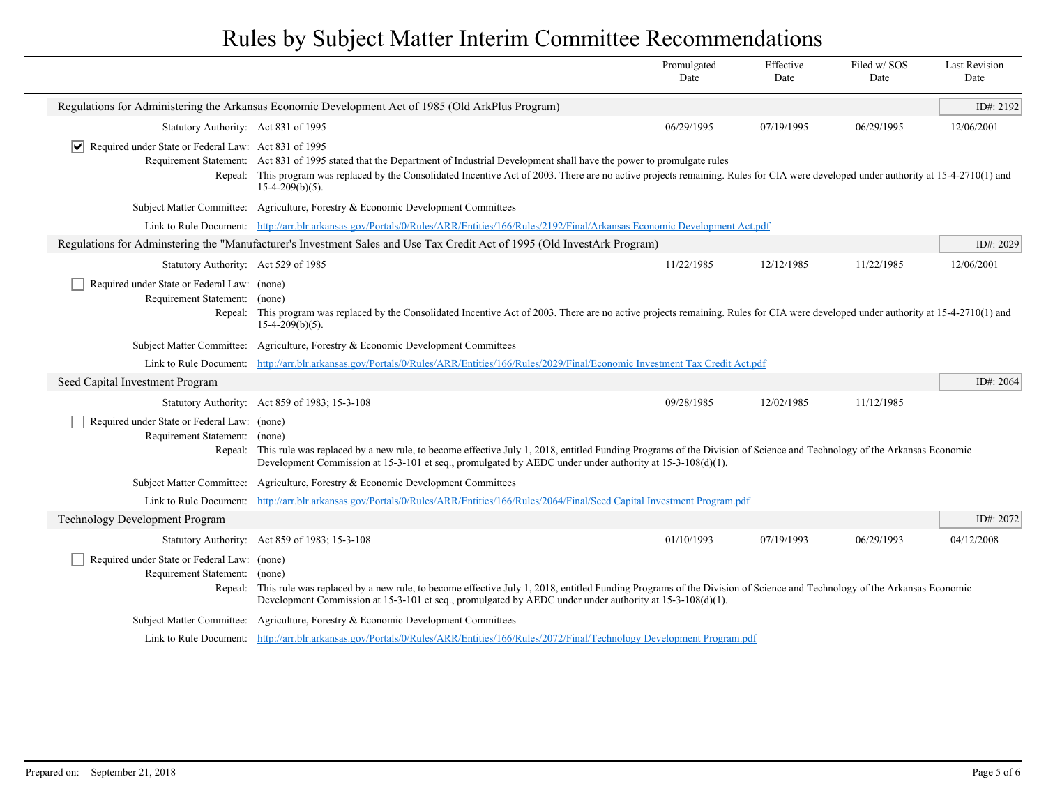|                                                                                                                                                                                                                                                                                                                                                                          |                                                                                                                                                                                                                                                                                                                                                                             | Promulgated<br>Date | Effective<br>Date | Filed w/SOS<br>Date | <b>Last Revision</b><br>Date |  |
|--------------------------------------------------------------------------------------------------------------------------------------------------------------------------------------------------------------------------------------------------------------------------------------------------------------------------------------------------------------------------|-----------------------------------------------------------------------------------------------------------------------------------------------------------------------------------------------------------------------------------------------------------------------------------------------------------------------------------------------------------------------------|---------------------|-------------------|---------------------|------------------------------|--|
|                                                                                                                                                                                                                                                                                                                                                                          | Regulations for Administering the Arkansas Economic Development Act of 1985 (Old ArkPlus Program)                                                                                                                                                                                                                                                                           |                     |                   |                     | ID#: $2192$                  |  |
| Statutory Authority: Act 831 of 1995                                                                                                                                                                                                                                                                                                                                     |                                                                                                                                                                                                                                                                                                                                                                             | 06/29/1995          | 07/19/1995        | 06/29/1995          | 12/06/2001                   |  |
| $ \mathbf{v} $ Required under State or Federal Law: Act 831 of 1995                                                                                                                                                                                                                                                                                                      | Requirement Statement: Act 831 of 1995 stated that the Department of Industrial Development shall have the power to promulgate rules<br>Repeal: This program was replaced by the Consolidated Incentive Act of 2003. There are no active projects remaining. Rules for CIA were developed under authority at 15-4-2710(1) and<br>$15-4-209(b)(5)$ .                         |                     |                   |                     |                              |  |
|                                                                                                                                                                                                                                                                                                                                                                          | Subject Matter Committee: Agriculture, Forestry & Economic Development Committees                                                                                                                                                                                                                                                                                           |                     |                   |                     |                              |  |
|                                                                                                                                                                                                                                                                                                                                                                          | Link to Rule Document: http://arr.blr.arkansas.gov/Portals/0/Rules/ARR/Entities/166/Rules/2192/Final/Arkansas Economic Development Act.pdf                                                                                                                                                                                                                                  |                     |                   |                     |                              |  |
|                                                                                                                                                                                                                                                                                                                                                                          | Regulations for Adminstering the "Manufacturer's Investment Sales and Use Tax Credit Act of 1995 (Old InvestArk Program)                                                                                                                                                                                                                                                    |                     |                   |                     | ID#: 2029                    |  |
| Statutory Authority: Act 529 of 1985                                                                                                                                                                                                                                                                                                                                     |                                                                                                                                                                                                                                                                                                                                                                             | 11/22/1985          | 12/12/1985        | 11/22/1985          | 12/06/2001                   |  |
| Required under State or Federal Law: (none)<br>Requirement Statement: (none)                                                                                                                                                                                                                                                                                             | Repeal: This program was replaced by the Consolidated Incentive Act of 2003. There are no active projects remaining. Rules for CIA were developed under authority at 15-4-2710(1) and<br>$15-4-209(b)(5)$ .                                                                                                                                                                 |                     |                   |                     |                              |  |
|                                                                                                                                                                                                                                                                                                                                                                          | Subject Matter Committee: Agriculture, Forestry & Economic Development Committees                                                                                                                                                                                                                                                                                           |                     |                   |                     |                              |  |
|                                                                                                                                                                                                                                                                                                                                                                          | Link to Rule Document: http://arr.blr.arkansas.gov/Portals/0/Rules/ARR/Entities/166/Rules/2029/Final/Economic Investment Tax Credit Act.pdf                                                                                                                                                                                                                                 |                     |                   |                     |                              |  |
| Seed Capital Investment Program                                                                                                                                                                                                                                                                                                                                          |                                                                                                                                                                                                                                                                                                                                                                             |                     |                   |                     | ID#: $2064$                  |  |
|                                                                                                                                                                                                                                                                                                                                                                          | Statutory Authority: Act 859 of 1983; 15-3-108                                                                                                                                                                                                                                                                                                                              | 09/28/1985          | 12/02/1985        | 11/12/1985          |                              |  |
| Required under State or Federal Law: (none)<br>Requirement Statement: (none)<br>Repeal: This rule was replaced by a new rule, to become effective July 1, 2018, entitled Funding Programs of the Division of Science and Technology of the Arkansas Economic<br>Development Commission at 15-3-101 et seq., promulgated by AEDC under under authority at 15-3-108(d)(1). |                                                                                                                                                                                                                                                                                                                                                                             |                     |                   |                     |                              |  |
| <b>Subject Matter Committee:</b>                                                                                                                                                                                                                                                                                                                                         | Agriculture, Forestry & Economic Development Committees                                                                                                                                                                                                                                                                                                                     |                     |                   |                     |                              |  |
| Link to Rule Document:                                                                                                                                                                                                                                                                                                                                                   | http://arr.blr.arkansas.gov/Portals/0/Rules/ARR/Entities/166/Rules/2064/Final/Seed Capital Investment Program.pdf                                                                                                                                                                                                                                                           |                     |                   |                     |                              |  |
| <b>Technology Development Program</b>                                                                                                                                                                                                                                                                                                                                    |                                                                                                                                                                                                                                                                                                                                                                             |                     |                   |                     | ID#: 2072                    |  |
|                                                                                                                                                                                                                                                                                                                                                                          | Statutory Authority: Act 859 of 1983; 15-3-108                                                                                                                                                                                                                                                                                                                              | 01/10/1993          | 07/19/1993        | 06/29/1993          | 04/12/2008                   |  |
|                                                                                                                                                                                                                                                                                                                                                                          | Required under State or Federal Law: (none)<br>Requirement Statement: (none)<br>Repeal: This rule was replaced by a new rule, to become effective July 1, 2018, entitled Funding Programs of the Division of Science and Technology of the Arkansas Economic<br>Development Commission at 15-3-101 et seq., promulgated by AEDC under under authority at $15-3-108(d)(1)$ . |                     |                   |                     |                              |  |
|                                                                                                                                                                                                                                                                                                                                                                          | Subject Matter Committee: Agriculture, Forestry & Economic Development Committees                                                                                                                                                                                                                                                                                           |                     |                   |                     |                              |  |
|                                                                                                                                                                                                                                                                                                                                                                          | Link to Rule Document: http://arr.blr.arkansas.gov/Portals/0/Rules/ARR/Entities/166/Rules/2072/Final/Technology Development Program.pdf                                                                                                                                                                                                                                     |                     |                   |                     |                              |  |